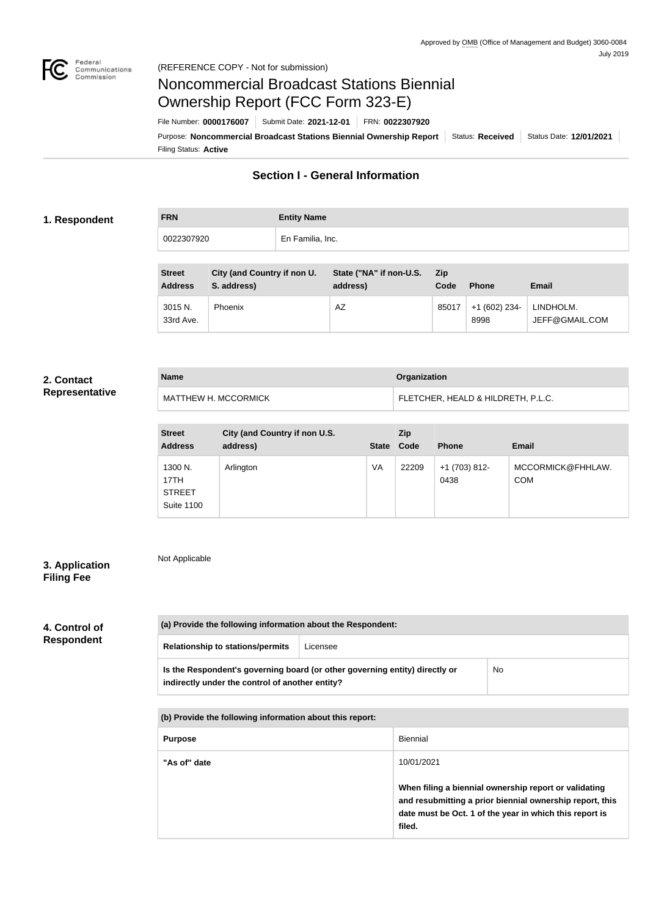

# Noncommercial Broadcast Stations Biennial Ownership Report (FCC Form 323-E)

Filing Status: **Active** Purpose: Noncommercial Broadcast Stations Biennial Ownership Report | Status: Received | Status Date: 12/01/2021 File Number: **0000176007** Submit Date: **2021-12-01** FRN: **0022307920**

# **Section I - General Information**

#### **1. Respondent**

**FRN Entity Name** 0022307920 En Familia, Inc.

| <b>Street</b><br><b>Address</b> | City (and Country if non U.<br>S. address) | State ("NA" if non-U.S.<br>address) | Zip<br>Code | <b>Phone</b>           | <b>Email</b>                |
|---------------------------------|--------------------------------------------|-------------------------------------|-------------|------------------------|-----------------------------|
| 3015 N.<br>33rd Ave.            | <b>Phoenix</b>                             | AZ                                  | 85017       | $+1(602)$ 234-<br>8998 | LINDHOLM.<br>JEFF@GMAIL.COM |

#### **2. Contact Representative**

| <b>Name</b>          | <b>Organization</b>                |  |
|----------------------|------------------------------------|--|
| MATTHEW H. MCCORMICK | FLETCHER, HEALD & HILDRETH, P.L.C. |  |

| <b>Street</b><br><b>Address</b>                       | City (and Country if non U.S.<br>address) | <b>State</b> | Zip<br>Code | <b>Phone</b>            | <b>Email</b>                    |
|-------------------------------------------------------|-------------------------------------------|--------------|-------------|-------------------------|---------------------------------|
| 1300 N.<br>17TH<br><b>STREET</b><br><b>Suite 1100</b> | Arlington                                 | VA           | 22209       | $+1$ (703) 812-<br>0438 | MCCORMICK@FHHLAW.<br><b>COM</b> |

## **3. Application Filing Fee**

Not Applicable

# **4. Control of Respondent**

| (a) Provide the following information about the Respondent:                                                                    |          |    |  |  |
|--------------------------------------------------------------------------------------------------------------------------------|----------|----|--|--|
| <b>Relationship to stations/permits</b>                                                                                        | Licensee |    |  |  |
| Is the Respondent's governing board (or other governing entity) directly or<br>indirectly under the control of another entity? |          | No |  |  |

**(b) Provide the following information about this report:**

| <b>Purpose</b> | Biennial                                                                                                                                                                               |
|----------------|----------------------------------------------------------------------------------------------------------------------------------------------------------------------------------------|
| "As of" date   | 10/01/2021                                                                                                                                                                             |
|                | When filing a biennial ownership report or validating<br>and resubmitting a prior biennial ownership report, this<br>date must be Oct. 1 of the year in which this report is<br>filed. |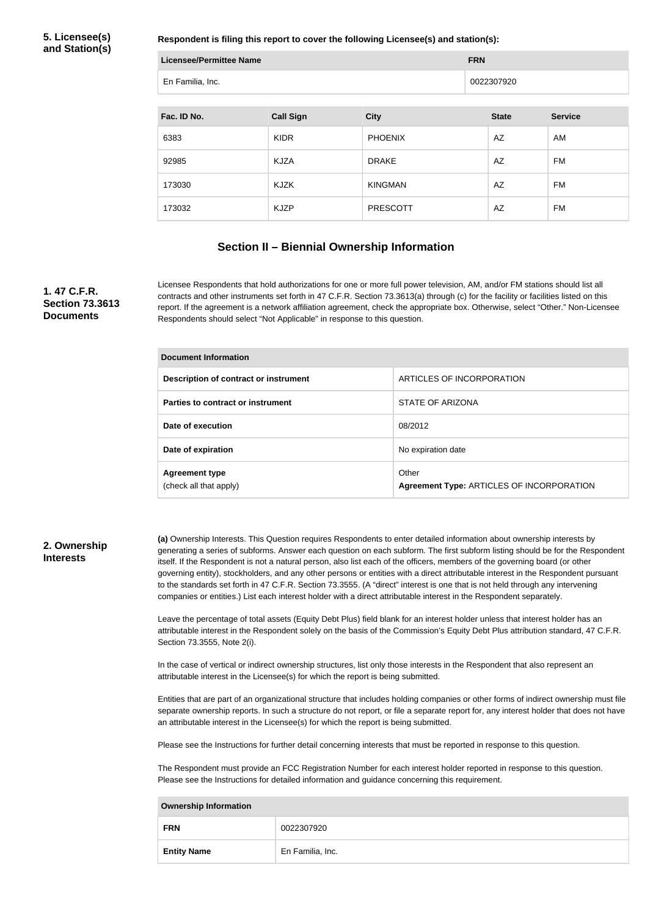#### **5. Licensee(s) and Station(s)**

**Respondent is filing this report to cover the following Licensee(s) and station(s):**

| <b>Licensee/Permittee Name</b> |                  | <b>FRN</b>      |              |                |  |  |
|--------------------------------|------------------|-----------------|--------------|----------------|--|--|
| En Familia, Inc.               |                  |                 | 0022307920   |                |  |  |
|                                |                  |                 |              |                |  |  |
| Fac. ID No.                    | <b>Call Sign</b> | <b>City</b>     | <b>State</b> | <b>Service</b> |  |  |
| 6383                           | <b>KIDR</b>      | <b>PHOENIX</b>  | AZ           | AM             |  |  |
| 92985                          | <b>KJZA</b>      | <b>DRAKE</b>    | AZ           | <b>FM</b>      |  |  |
| 173030                         | KJZK             | <b>KINGMAN</b>  | AZ           | FM             |  |  |
| 173032                         | <b>KJZP</b>      | <b>PRESCOTT</b> | AZ           | <b>FM</b>      |  |  |

### **Section II – Biennial Ownership Information**

#### **1. 47 C.F.R. Section 73.3613 Documents**

Licensee Respondents that hold authorizations for one or more full power television, AM, and/or FM stations should list all contracts and other instruments set forth in 47 C.F.R. Section 73.3613(a) through (c) for the facility or facilities listed on this report. If the agreement is a network affiliation agreement, check the appropriate box. Otherwise, select "Other." Non-Licensee Respondents should select "Not Applicable" in response to this question.

| <b>Document Information</b>                     |                                                    |  |  |
|-------------------------------------------------|----------------------------------------------------|--|--|
| Description of contract or instrument           | ARTICLES OF INCORPORATION                          |  |  |
| Parties to contract or instrument               | STATE OF ARIZONA                                   |  |  |
| Date of execution                               | 08/2012                                            |  |  |
| Date of expiration                              | No expiration date                                 |  |  |
| <b>Agreement type</b><br>(check all that apply) | Other<br>Agreement Type: ARTICLES OF INCORPORATION |  |  |

#### **2. Ownership Interests**

**(a)** Ownership Interests. This Question requires Respondents to enter detailed information about ownership interests by generating a series of subforms. Answer each question on each subform. The first subform listing should be for the Respondent itself. If the Respondent is not a natural person, also list each of the officers, members of the governing board (or other governing entity), stockholders, and any other persons or entities with a direct attributable interest in the Respondent pursuant to the standards set forth in 47 C.F.R. Section 73.3555. (A "direct" interest is one that is not held through any intervening companies or entities.) List each interest holder with a direct attributable interest in the Respondent separately.

Leave the percentage of total assets (Equity Debt Plus) field blank for an interest holder unless that interest holder has an attributable interest in the Respondent solely on the basis of the Commission's Equity Debt Plus attribution standard, 47 C.F.R. Section 73.3555, Note 2(i).

In the case of vertical or indirect ownership structures, list only those interests in the Respondent that also represent an attributable interest in the Licensee(s) for which the report is being submitted.

Entities that are part of an organizational structure that includes holding companies or other forms of indirect ownership must file separate ownership reports. In such a structure do not report, or file a separate report for, any interest holder that does not have an attributable interest in the Licensee(s) for which the report is being submitted.

Please see the Instructions for further detail concerning interests that must be reported in response to this question.

The Respondent must provide an FCC Registration Number for each interest holder reported in response to this question. Please see the Instructions for detailed information and guidance concerning this requirement.

| <b>Ownership Information</b> |                  |  |
|------------------------------|------------------|--|
| <b>FRN</b>                   | 0022307920       |  |
| <b>Entity Name</b>           | En Familia, Inc. |  |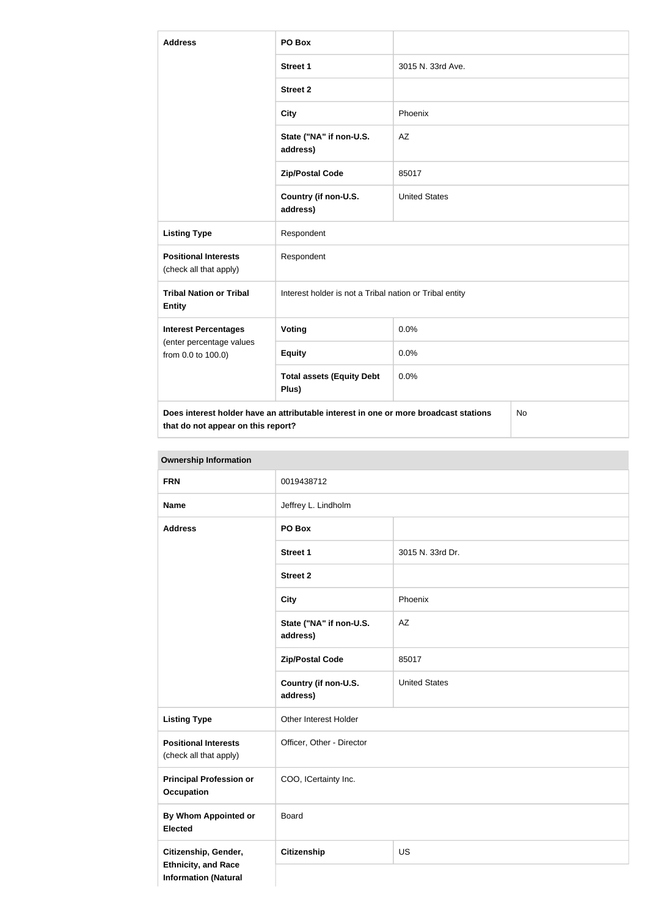| <b>Address</b>                                        | PO Box                                                                               |                      |           |  |
|-------------------------------------------------------|--------------------------------------------------------------------------------------|----------------------|-----------|--|
|                                                       | <b>Street 1</b>                                                                      | 3015 N. 33rd Ave.    |           |  |
|                                                       | <b>Street 2</b>                                                                      |                      |           |  |
|                                                       | <b>City</b>                                                                          | Phoenix              |           |  |
|                                                       | State ("NA" if non-U.S.<br>address)                                                  | <b>AZ</b>            |           |  |
|                                                       | <b>Zip/Postal Code</b>                                                               | 85017                |           |  |
|                                                       | Country (if non-U.S.<br>address)                                                     | <b>United States</b> |           |  |
| <b>Listing Type</b>                                   | Respondent                                                                           |                      |           |  |
| <b>Positional Interests</b><br>(check all that apply) | Respondent                                                                           |                      |           |  |
| <b>Tribal Nation or Tribal</b><br><b>Entity</b>       | Interest holder is not a Tribal nation or Tribal entity                              |                      |           |  |
| <b>Interest Percentages</b>                           | Voting                                                                               | 0.0%                 |           |  |
| (enter percentage values<br>from 0.0 to 100.0)        | <b>Equity</b>                                                                        | 0.0%                 |           |  |
|                                                       | <b>Total assets (Equity Debt</b><br>Plus)                                            | 0.0%                 |           |  |
| that do not appear on this report?                    | Does interest holder have an attributable interest in one or more broadcast stations |                      | <b>No</b> |  |

| <b>FRN</b>                                                                        | 0019438712                          |                      |  |
|-----------------------------------------------------------------------------------|-------------------------------------|----------------------|--|
| <b>Name</b>                                                                       | Jeffrey L. Lindholm                 |                      |  |
| <b>Address</b>                                                                    | PO Box                              |                      |  |
|                                                                                   | <b>Street 1</b>                     | 3015 N. 33rd Dr.     |  |
|                                                                                   | <b>Street 2</b>                     |                      |  |
|                                                                                   | <b>City</b>                         | Phoenix              |  |
|                                                                                   | State ("NA" if non-U.S.<br>address) | AZ                   |  |
|                                                                                   | <b>Zip/Postal Code</b>              | 85017                |  |
|                                                                                   | Country (if non-U.S.<br>address)    | <b>United States</b> |  |
| <b>Listing Type</b>                                                               | Other Interest Holder               |                      |  |
| <b>Positional Interests</b><br>(check all that apply)                             | Officer, Other - Director           |                      |  |
| <b>Principal Profession or</b><br><b>Occupation</b>                               | COO, ICertainty Inc.                |                      |  |
| <b>By Whom Appointed or</b><br><b>Elected</b>                                     | <b>Board</b>                        |                      |  |
| Citizenship, Gender,<br><b>Ethnicity, and Race</b><br><b>Information (Natural</b> | <b>Citizenship</b>                  | <b>US</b>            |  |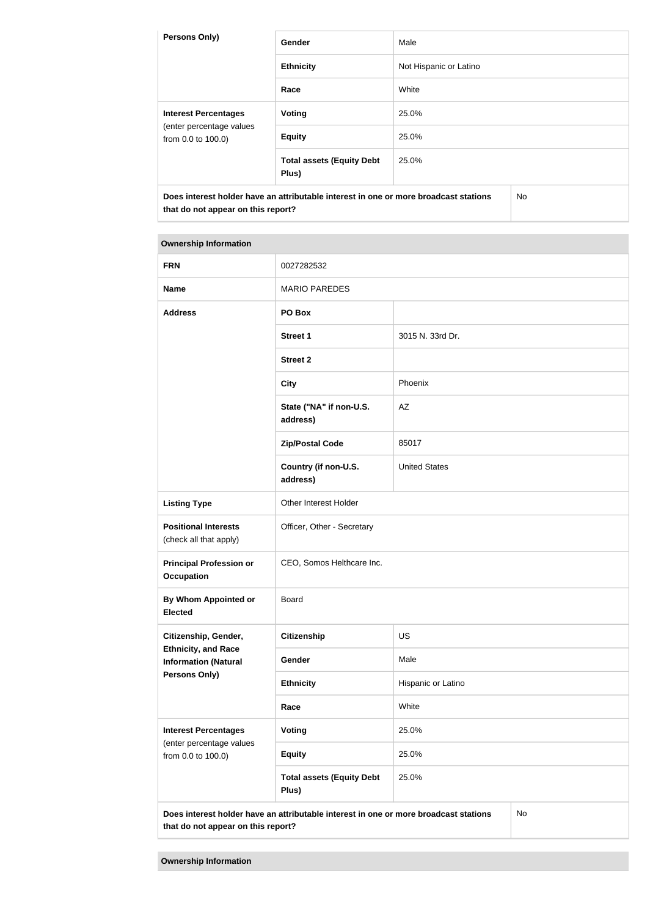| <b>Persons Only)</b>                                                                 | Gender                                    | Male                   |     |
|--------------------------------------------------------------------------------------|-------------------------------------------|------------------------|-----|
|                                                                                      | <b>Ethnicity</b>                          | Not Hispanic or Latino |     |
|                                                                                      | Race                                      | White                  |     |
| <b>Interest Percentages</b>                                                          | Voting                                    | 25.0%                  |     |
| (enter percentage values<br>from 0.0 to 100.0)                                       | <b>Equity</b>                             | 25.0%                  |     |
|                                                                                      | <b>Total assets (Equity Debt</b><br>Plus) | 25.0%                  |     |
| Does interest holder have an attributable interest in one or more broadcast stations |                                           |                        | No. |

**that do not appear on this report?**

#### **Ownership Information**

| <b>FRN</b>                                                                                                                              | 0027282532                                |                      |  |  |
|-----------------------------------------------------------------------------------------------------------------------------------------|-------------------------------------------|----------------------|--|--|
| <b>Name</b>                                                                                                                             | <b>MARIO PAREDES</b>                      |                      |  |  |
| <b>Address</b>                                                                                                                          | PO Box                                    |                      |  |  |
|                                                                                                                                         | <b>Street 1</b>                           | 3015 N. 33rd Dr.     |  |  |
|                                                                                                                                         | <b>Street 2</b>                           |                      |  |  |
|                                                                                                                                         | <b>City</b>                               | Phoenix              |  |  |
|                                                                                                                                         | State ("NA" if non-U.S.<br>address)       | AZ                   |  |  |
|                                                                                                                                         | <b>Zip/Postal Code</b>                    | 85017                |  |  |
|                                                                                                                                         | Country (if non-U.S.<br>address)          | <b>United States</b> |  |  |
| <b>Listing Type</b>                                                                                                                     | Other Interest Holder                     |                      |  |  |
| <b>Positional Interests</b><br>(check all that apply)                                                                                   | Officer, Other - Secretary                |                      |  |  |
| <b>Principal Profession or</b><br><b>Occupation</b>                                                                                     | CEO, Somos Helthcare Inc.                 |                      |  |  |
| By Whom Appointed or<br><b>Elected</b>                                                                                                  | <b>Board</b>                              |                      |  |  |
| Citizenship, Gender,                                                                                                                    | Citizenship                               | US                   |  |  |
| <b>Ethnicity, and Race</b><br><b>Information (Natural</b>                                                                               | Gender                                    | Male                 |  |  |
| <b>Persons Only)</b>                                                                                                                    | <b>Ethnicity</b>                          | Hispanic or Latino   |  |  |
|                                                                                                                                         | Race                                      | White                |  |  |
| <b>Interest Percentages</b><br>(enter percentage values                                                                                 | <b>Voting</b>                             | 25.0%                |  |  |
| from 0.0 to 100.0)                                                                                                                      | <b>Equity</b>                             | 25.0%                |  |  |
|                                                                                                                                         | <b>Total assets (Equity Debt</b><br>Plus) | 25.0%                |  |  |
| Does interest holder have an attributable interest in one or more broadcast stations<br><b>No</b><br>that do not appear on this report? |                                           |                      |  |  |

**Ownership Information**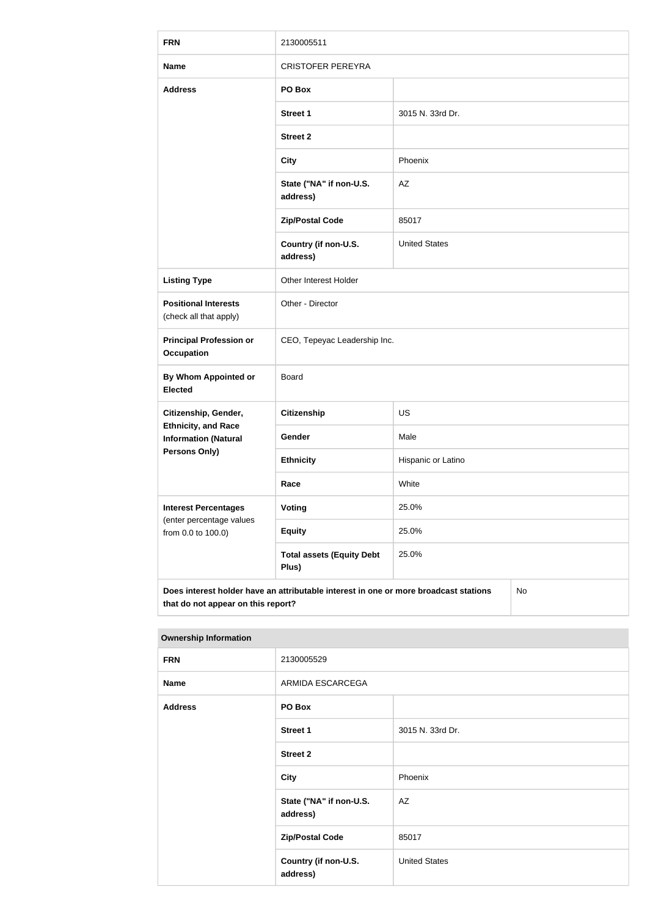| <b>FRN</b>                                                                                                                       | 2130005511                                |                      |  |  |
|----------------------------------------------------------------------------------------------------------------------------------|-------------------------------------------|----------------------|--|--|
| <b>Name</b>                                                                                                                      | <b>CRISTOFER PEREYRA</b>                  |                      |  |  |
| <b>Address</b>                                                                                                                   | PO Box                                    |                      |  |  |
|                                                                                                                                  | <b>Street 1</b>                           | 3015 N. 33rd Dr.     |  |  |
|                                                                                                                                  | <b>Street 2</b>                           |                      |  |  |
|                                                                                                                                  | <b>City</b>                               | Phoenix              |  |  |
|                                                                                                                                  | State ("NA" if non-U.S.<br>address)       | AZ                   |  |  |
|                                                                                                                                  | <b>Zip/Postal Code</b>                    | 85017                |  |  |
|                                                                                                                                  | Country (if non-U.S.<br>address)          | <b>United States</b> |  |  |
| <b>Listing Type</b>                                                                                                              | Other Interest Holder                     |                      |  |  |
| <b>Positional Interests</b><br>(check all that apply)                                                                            | Other - Director                          |                      |  |  |
| <b>Principal Profession or</b><br><b>Occupation</b>                                                                              | CEO, Tepeyac Leadership Inc.              |                      |  |  |
| <b>By Whom Appointed or</b><br><b>Elected</b>                                                                                    | Board                                     |                      |  |  |
| Citizenship, Gender,<br><b>Ethnicity, and Race</b><br><b>Information (Natural</b><br><b>Persons Only)</b>                        | <b>Citizenship</b>                        | US                   |  |  |
|                                                                                                                                  | Gender                                    | Male                 |  |  |
|                                                                                                                                  | <b>Ethnicity</b>                          | Hispanic or Latino   |  |  |
|                                                                                                                                  | Race                                      | White                |  |  |
| <b>Interest Percentages</b><br>(enter percentage values<br>from 0.0 to 100.0)                                                    | <b>Voting</b>                             | 25.0%                |  |  |
|                                                                                                                                  | <b>Equity</b>                             | 25.0%                |  |  |
|                                                                                                                                  | <b>Total assets (Equity Debt</b><br>Plus) | 25.0%                |  |  |
| Does interest holder have an attributable interest in one or more broadcast stations<br>No<br>that do not appear on this report? |                                           |                      |  |  |

#### **Ownership Information**

| <b>FRN</b>     | 2130005529                          |                      |
|----------------|-------------------------------------|----------------------|
| <b>Name</b>    | ARMIDA ESCARCEGA                    |                      |
| <b>Address</b> | PO Box                              |                      |
|                | Street 1                            | 3015 N. 33rd Dr.     |
|                | <b>Street 2</b>                     |                      |
|                | <b>City</b>                         | Phoenix              |
|                | State ("NA" if non-U.S.<br>address) | AZ                   |
|                | <b>Zip/Postal Code</b>              | 85017                |
|                | Country (if non-U.S.<br>address)    | <b>United States</b> |
|                |                                     |                      |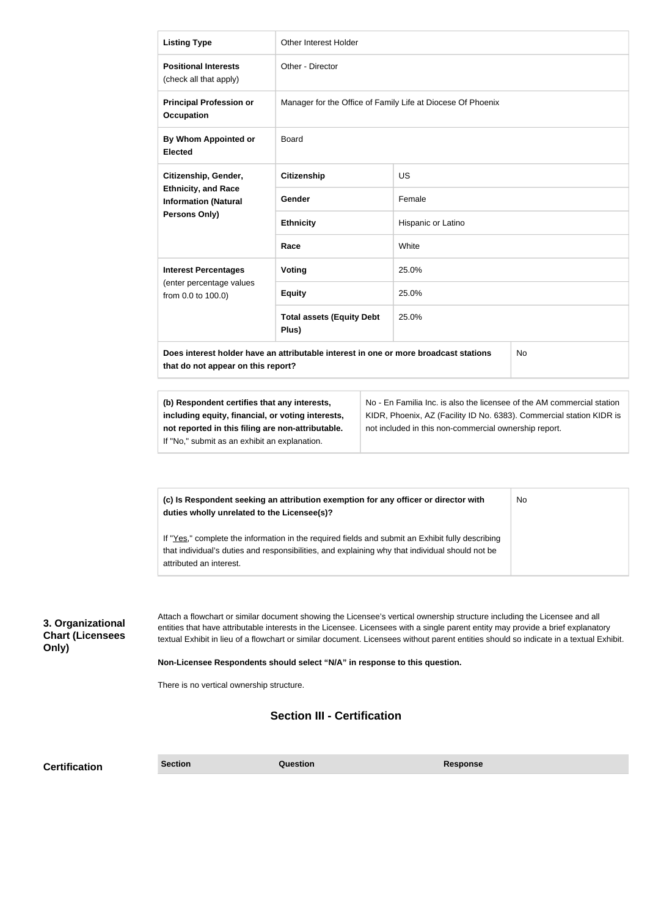|                                                       | <b>Listing Type</b>                                                                                                                                                                                                                                                                                                                                                                                                                                                                                                                                                      | Other Interest Holder                                                                                                                                                                                   |                 |  |  |
|-------------------------------------------------------|--------------------------------------------------------------------------------------------------------------------------------------------------------------------------------------------------------------------------------------------------------------------------------------------------------------------------------------------------------------------------------------------------------------------------------------------------------------------------------------------------------------------------------------------------------------------------|---------------------------------------------------------------------------------------------------------------------------------------------------------------------------------------------------------|-----------------|--|--|
|                                                       | <b>Positional Interests</b><br>(check all that apply)                                                                                                                                                                                                                                                                                                                                                                                                                                                                                                                    | Other - Director                                                                                                                                                                                        |                 |  |  |
|                                                       | <b>Principal Profession or</b><br><b>Occupation</b>                                                                                                                                                                                                                                                                                                                                                                                                                                                                                                                      | Manager for the Office of Family Life at Diocese Of Phoenix                                                                                                                                             |                 |  |  |
|                                                       | <b>By Whom Appointed or</b><br><b>Elected</b>                                                                                                                                                                                                                                                                                                                                                                                                                                                                                                                            | <b>Board</b>                                                                                                                                                                                            |                 |  |  |
|                                                       | Citizenship, Gender,                                                                                                                                                                                                                                                                                                                                                                                                                                                                                                                                                     | <b>Citizenship</b><br><b>US</b>                                                                                                                                                                         |                 |  |  |
|                                                       | <b>Ethnicity, and Race</b><br><b>Information (Natural</b>                                                                                                                                                                                                                                                                                                                                                                                                                                                                                                                | <b>Gender</b>                                                                                                                                                                                           | Female          |  |  |
|                                                       | Persons Only)                                                                                                                                                                                                                                                                                                                                                                                                                                                                                                                                                            | <b>Ethnicity</b><br>Hispanic or Latino                                                                                                                                                                  |                 |  |  |
|                                                       |                                                                                                                                                                                                                                                                                                                                                                                                                                                                                                                                                                          | Race                                                                                                                                                                                                    | White           |  |  |
|                                                       | <b>Interest Percentages</b>                                                                                                                                                                                                                                                                                                                                                                                                                                                                                                                                              | <b>Voting</b>                                                                                                                                                                                           | 25.0%           |  |  |
|                                                       | (enter percentage values<br>from 0.0 to 100.0)                                                                                                                                                                                                                                                                                                                                                                                                                                                                                                                           | <b>Equity</b>                                                                                                                                                                                           | 25.0%           |  |  |
|                                                       |                                                                                                                                                                                                                                                                                                                                                                                                                                                                                                                                                                          | <b>Total assets (Equity Debt</b><br>Plus)                                                                                                                                                               | 25.0%           |  |  |
|                                                       | Does interest holder have an attributable interest in one or more broadcast stations<br>No<br>that do not appear on this report?                                                                                                                                                                                                                                                                                                                                                                                                                                         |                                                                                                                                                                                                         |                 |  |  |
|                                                       | (b) Respondent certifies that any interests,<br>including equity, financial, or voting interests,<br>not reported in this filing are non-attributable.<br>If "No," submit as an exhibit an explanation.                                                                                                                                                                                                                                                                                                                                                                  | No - En Familia Inc. is also the licensee of the AM commercial station<br>KIDR, Phoenix, AZ (Facility ID No. 6383). Commercial station KIDR is<br>not included in this non-commercial ownership report. |                 |  |  |
|                                                       | (c) Is Respondent seeking an attribution exemption for any officer or director with<br>duties wholly unrelated to the Licensee(s)?                                                                                                                                                                                                                                                                                                                                                                                                                                       | If "Yes," complete the information in the required fields and submit an Exhibit fully describing                                                                                                        | No              |  |  |
|                                                       | attributed an interest.                                                                                                                                                                                                                                                                                                                                                                                                                                                                                                                                                  | that individual's duties and responsibilities, and explaining why that individual should not be                                                                                                         |                 |  |  |
| 3. Organizational<br><b>Chart (Licensees</b><br>Only) | Attach a flowchart or similar document showing the Licensee's vertical ownership structure including the Licensee and all<br>entities that have attributable interests in the Licensee. Licensees with a single parent entity may provide a brief explanatory<br>textual Exhibit in lieu of a flowchart or similar document. Licensees without parent entities should so indicate in a textual Exhibit.<br>Non-Licensee Respondents should select "N/A" in response to this question.<br>There is no vertical ownership structure.<br><b>Section III - Certification</b> |                                                                                                                                                                                                         |                 |  |  |
|                                                       |                                                                                                                                                                                                                                                                                                                                                                                                                                                                                                                                                                          |                                                                                                                                                                                                         |                 |  |  |
| <b>Certification</b>                                  | <b>Section</b>                                                                                                                                                                                                                                                                                                                                                                                                                                                                                                                                                           | Question                                                                                                                                                                                                | <b>Response</b> |  |  |

**Certification**